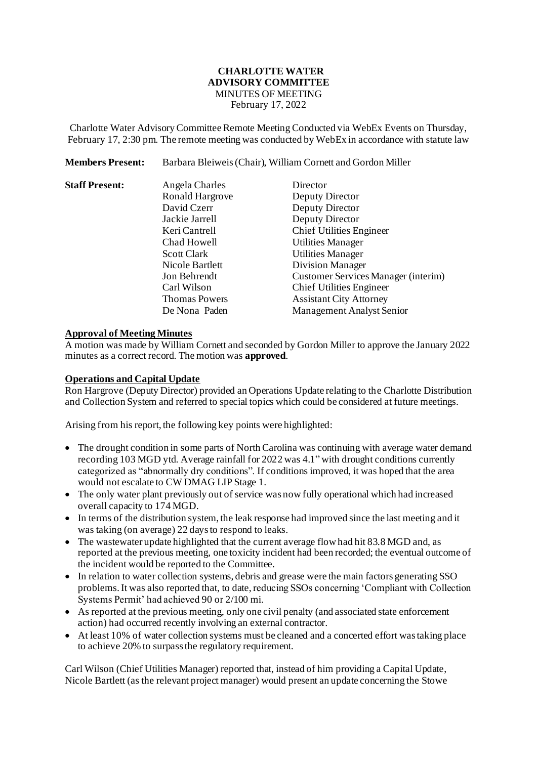#### **CHARLOTTE WATER ADVISORY COMMITTEE** MINUTES OF MEETING

February 17, 2022

Charlotte Water Advisory Committee Remote Meeting Conducted via WebEx Events on Thursday, February 17, 2:30 pm. The remote meeting was conducted by WebEx in accordance with statute law

**Members Present:** Barbara Bleiweis(Chair), William Cornett and Gordon Miller

| <b>Staff Present:</b> | Angela Charles       | Director                            |
|-----------------------|----------------------|-------------------------------------|
|                       | Ronald Hargrove      | Deputy Director                     |
|                       | David Czerr          | Deputy Director                     |
|                       | Jackie Jarrell       | Deputy Director                     |
|                       | Keri Cantrell        | <b>Chief Utilities Engineer</b>     |
|                       | Chad Howell          | <b>Utilities Manager</b>            |
|                       | <b>Scott Clark</b>   | <b>Utilities Manager</b>            |
|                       | Nicole Bartlett      | <b>Division Manager</b>             |
|                       | Jon Behrendt         | Customer Services Manager (interim) |
|                       | Carl Wilson          | <b>Chief Utilities Engineer</b>     |
|                       | <b>Thomas Powers</b> | <b>Assistant City Attorney</b>      |
|                       | De Nona Paden        | <b>Management Analyst Senior</b>    |

#### **Approval of Meeting Minutes**

A motion was made by William Cornett and seconded by Gordon Miller to approve the January 2022 minutes as a correct record. The motion was **approved**.

#### **Operations and Capital Update**

Ron Hargrove (Deputy Director) provided an Operations Update relating to the Charlotte Distribution and Collection System and referred to special topics which could be considered at future meetings.

Arising from his report, the following key points were highlighted:

- The drought condition in some parts of North Carolina was continuing with average water demand recording 103 MGD ytd. Average rainfall for 2022 was 4.1" with drought conditions currently categorized as "abnormally dry conditions". If conditions improved, it was hoped that the area would not escalate to CW DMAG LIP Stage 1.
- The only water plant previously out of service was now fully operational which had increased overall capacity to 174 MGD.
- In terms of the distribution system, the leak response had improved since the last meeting and it was taking (on average) 22 daysto respond to leaks.
- The wastewater update highlighted that the current average flow had hit 83.8 MGD and, as reported at the previous meeting, one toxicity incident had been recorded; the eventual outcome of the incident would be reported to the Committee.
- In relation to water collection systems, debris and grease were the main factors generating SSO problems. It was also reported that, to date, reducing SSOs concerning 'Compliant with Collection Systems Permit' had achieved 90 or 2/100 mi.
- As reported at the previous meeting, only one civil penalty (and associated state enforcement action) had occurred recently involving an external contractor.
- At least 10% of water collection systems must be cleaned and a concerted effort was taking place to achieve 20% to surpass the regulatory requirement.

Carl Wilson (Chief Utilities Manager) reported that, instead of him providing a Capital Update, Nicole Bartlett (as the relevant project manager) would present an update concerning the Stowe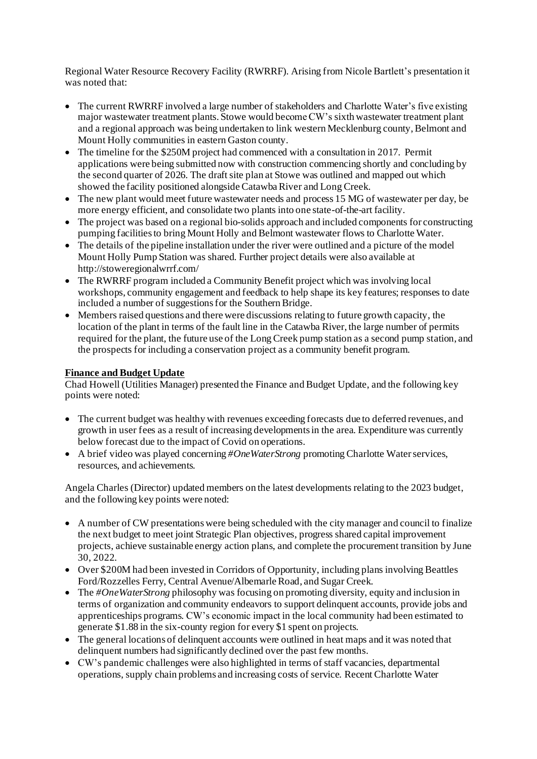Regional Water Resource Recovery Facility (RWRRF). Arising from Nicole Bartlett's presentation it was noted that:

- The current RWRRF involved a large number of stakeholders and Charlotte Water's five existing major wastewater treatment plants. Stowe would become CW's sixth wastewater treatment plant and a regional approach was being undertaken to link western Mecklenburg county, Belmont and Mount Holly communities in eastern Gaston county.
- The timeline for the \$250M project had commenced with a consultation in 2017. Permit applications were being submitted now with construction commencing shortly and concluding by the second quarter of 2026. The draft site plan at Stowe was outlined and mapped out which showed the facility positioned alongside Catawba River and Long Creek.
- The new plant would meet future wastewater needs and process 15 MG of wastewater per day, be more energy efficient, and consolidate two plants into one state-of-the-art facility.
- The project was based on a regional bio-solids approach and included components for constructing pumping facilities to bring Mount Holly and Belmont wastewater flows to Charlotte Water.
- The details of the pipeline installation under the river were outlined and a picture of the model Mount Holly Pump Station was shared. Further project details were also available at <http://stoweregionalwrrf.com/>
- The RWRRF program included a Community Benefit project which was involving local workshops, community engagement and feedback to help shape its key features; responses to date included a number of suggestions for the Southern Bridge.
- Members raised questions and there were discussions relating to future growth capacity, the location of the plant in terms of the fault line in the Catawba River, the large number of permits required for the plant, the future use of the Long Creek pump station as a second pump station, and the prospects for including a conservation project as a community benefit program.

# **Finance and Budget Update**

Chad Howell (Utilities Manager) presented the Finance and Budget Update, and the following key points were noted:

- The current budget was healthy with revenues exceeding forecasts due to deferred revenues, and growth in user fees as a result of increasing developments in the area. Expenditure was currently below forecast due to the impact of Covid on operations.
- A brief video was played concerning *#OneWaterStrong* promoting Charlotte Water services, resources, and achievements.

Angela Charles (Director) updated members on the latest developments relating to the 2023 budget, and the following key points were noted:

- A number of CW presentations were being scheduled with the city manager and council to finalize the next budget to meet joint Strategic Plan objectives, progress shared capital improvement projects, achieve sustainable energy action plans, and complete the procurement transition by June 30, 2022.
- Over \$200M had been invested in Corridors of Opportunity, including plans involving Beattles Ford/Rozzelles Ferry, Central Avenue/Albemarle Road, and Sugar Creek.
- The *#OneWaterStrong* philosophy was focusing on promoting diversity, equity and inclusion in terms of organization and community endeavors to support delinquent accounts, provide jobs and apprenticeships programs. CW's economic impact in the local community had been estimated to generate \$1.88 in the six-county region for every \$1 spent on projects.
- The general locations of delinquent accounts were outlined in heat maps and it was noted that delinquent numbers had significantly declined over the past few months.
- CW's pandemic challenges were also highlighted in terms of staff vacancies, departmental operations, supply chain problems and increasing costs of service. Recent Charlotte Water